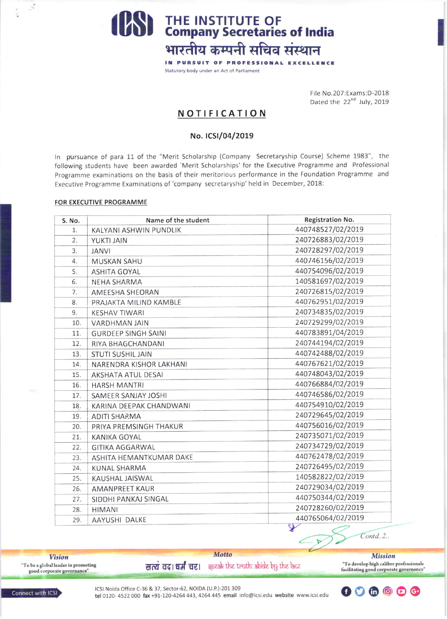**PSS** THE INSTITUTE OF Company Secretaries of India भारतीय कम्पनी सचिव संस्थान

> IN PURSUIT OF PROFESSIONAL EXCELLENCE Statutory body under an Act of Parliament

> > File No.207:Exams:D-2018 Dated the 22<sup>nd</sup> July, 2019

## **NOTIFICATION**

### No. ICSI/04/2019

In pursuance of para 11 of the "Merit Scholarship (Company Secretaryship Course) Scheme 1983", the following students have been awarded 'Merit Scholarships' for the Executive Programme and Professional Programme examinations on the basis of their meritorious performance in the Foundation Programme and Executive Programme Examinations of 'company secretaryship' held in December, 2018:

#### FOR EXECUTIVE PROGRAMME

 $\leq$ 

| S. No. | Name of the student        | Registration No.  |
|--------|----------------------------|-------------------|
| 1.     | KALYANI ASHWIN PUNDLIK     | 440748527/02/2019 |
| 2.     | YUKTI JAIN                 | 240726883/02/2019 |
| 3.     | <b>JANVI</b>               | 240728297/02/2019 |
| 4.     | <b>MUSKAN SAHU</b>         | 440746156/02/2019 |
| 5.     | <b>ASHITA GOYAL</b>        | 440754096/02/2019 |
| 6.     | NEHA SHARMA                | 140581697/02/2019 |
| 7.     | AMEESHA SHEORAN            | 240726815/02/2019 |
| 8.     | PRAJAKTA MILIND KAMBLE     | 440762951/02/2019 |
| 9.     | <b>KESHAV TIWARI</b>       | 240734835/02/2019 |
| 10.    | <b>VARDHMAN JAIN</b>       | 240729299/02/2019 |
| 11.    | <b>GURDEEP SINGH SAINI</b> | 440783891/04/2019 |
| 12.    | RIYA BHAGCHANDANI          | 240744194/02/2019 |
| 13.    | <b>STUTI SUSHIL JAIN</b>   | 440742488/02/2019 |
| 14.    | NARENDRA KISHOR LAKHANI    | 440767621/02/2019 |
| 15.    | <b>AKSHATA ATUL DESAI</b>  | 440748043/02/2019 |
| 16.    | <b>HARSH MANTRI</b>        | 440766884/02/2019 |
| 17.    | SAMEER SANJAY JOSHI        | 440746586/02/2019 |
| 18.    | KARINA DEEPAK CHANDWANI    | 440754910/02/2019 |
| 19.    | <b>ADITI SHARMA</b>        | 240729645/02/2019 |
| 20.    | PRIYA PREMSINGH THAKUR     | 440756016/02/2019 |
| 21.    | <b>KANIKA GOYAL</b>        | 240735071/02/2019 |
| 22.    | <b>GITIKA AGGARWAL</b>     | 240734729/02/2019 |
| 23.    | ASHITA HEMANTKUMAR DAKE    | 440762478/02/2019 |
| 24.    | KUNAL SHARMA               | 240726495/02/2019 |
| 25.    | KAUSHAL JAISWAL            | 140582822/02/2019 |
| 26.    | <b>AMANPREET KAUR</b>      | 240729034/02/2019 |
| 27.    | SIDDHI PANKAJ SINGAL       | 440750344/02/2019 |
| 28.    | <b>HIMANI</b>              | 240728260/02/2019 |
| 29.    | AAYUSHI DALKE              | 440765064/02/2019 |

 $Contd.2.$ 

**Vision**  $\lq$  To be a global leader in promoting good corporate governance"

सत्यं वद। धर्मं चर। इत्यार के the truth abide by the law.

Motto

**Mission** "To develop high calibre professionals facilitating good corporate governance

ICSI Noida Office C-36 & 37, Sector-62, NOIDA (U.P.)-201 309 tel 0120-4522 000 fax +91-120-4264 443, 4264 445 email info@icsi.edu website www.icsi.edu



**Connect with ICSI**